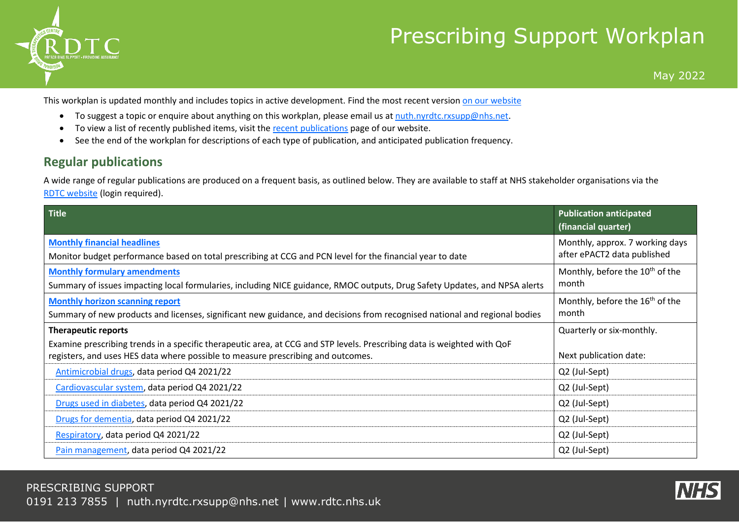

## Prescribing Support Workplan

May 2022

This workplan is updated monthly and includes topics in active development. Find the most recent version on our [website](https://rdtc.nhs.uk/news/prescribing-support-workplan)

- To suggest a topic or enquire about anything on this workplan, please email us at [nuth.nyrdtc.rxsupp@nhs.net.](mailto:nuth.nyrdtc.rxsupp@nhs.net?subject=RDTC%20workplan)
- To view a list of recently published items, visit th[e recent publications](https://rdtc.nhs.uk/prescribing-support/new/) page of our website.
- See the end of the workplan for descriptions of each type of publication, and anticipated publication frequency.

## **Regular publications**

A wide range of regular publications are produced on a frequent basis, as outlined below. They are available to staff at NHS stakeholder organisations via the [RDTC website](https://rdtc.nhs.uk/) (login required).

| <b>Title</b>                                                                                                                                                         | <b>Publication anticipated</b><br>(financial quarter)          |
|----------------------------------------------------------------------------------------------------------------------------------------------------------------------|----------------------------------------------------------------|
| <b>Monthly financial headlines</b><br>Monitor budget performance based on total prescribing at CCG and PCN level for the financial year to date                      | Monthly, approx. 7 working days<br>after ePACT2 data published |
| <b>Monthly formulary amendments</b><br>Summary of issues impacting local formularies, including NICE guidance, RMOC outputs, Drug Safety Updates, and NPSA alerts    | Monthly, before the 10 <sup>th</sup> of the<br>month           |
| <b>Monthly horizon scanning report</b><br>Summary of new products and licenses, significant new guidance, and decisions from recognised national and regional bodies | Monthly, before the 16 <sup>th</sup> of the<br>month           |
| <b>Therapeutic reports</b><br>Examine prescribing trends in a specific therapeutic area, at CCG and STP levels. Prescribing data is weighted with QoF                | Quarterly or six-monthly.                                      |
| registers, and uses HES data where possible to measure prescribing and outcomes.                                                                                     | Next publication date:                                         |
| Antimicrobial drugs, data period Q4 2021/22                                                                                                                          | Q2 (Jul-Sept)                                                  |
| Cardiovascular system, data period Q4 2021/22                                                                                                                        | Q2 (Jul-Sept)                                                  |
| Drugs used in diabetes, data period Q4 2021/22                                                                                                                       | Q2 (Jul-Sept)                                                  |
| Drugs for dementia, data period Q4 2021/22                                                                                                                           | Q2 (Jul-Sept)                                                  |
| Respiratory, data period Q4 2021/22                                                                                                                                  | Q2 (Jul-Sept)                                                  |
| Pain management, data period Q4 2021/22                                                                                                                              | Q2 (Jul-Sept)                                                  |

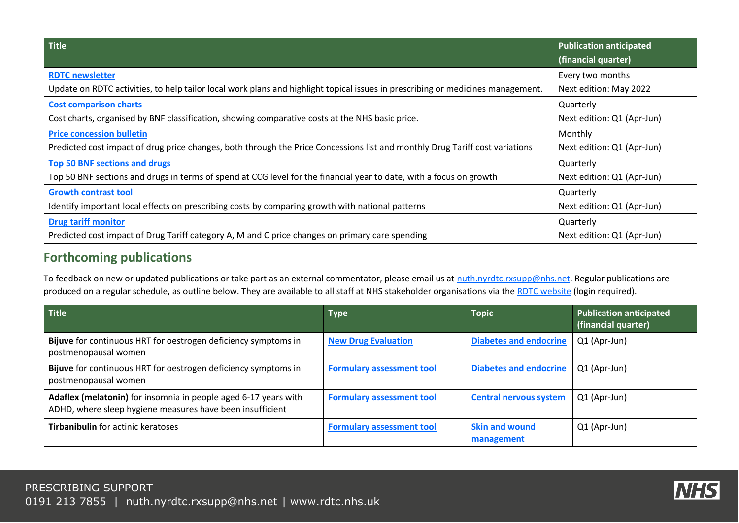| Title                                                                                                                           | <b>Publication anticipated</b> |
|---------------------------------------------------------------------------------------------------------------------------------|--------------------------------|
|                                                                                                                                 | (financial quarter)            |
| <b>RDTC newsletter</b>                                                                                                          | Every two months               |
| Update on RDTC activities, to help tailor local work plans and highlight topical issues in prescribing or medicines management. | Next edition: May 2022         |
| <b>Cost comparison charts</b>                                                                                                   | Quarterly                      |
| Cost charts, organised by BNF classification, showing comparative costs at the NHS basic price.                                 | Next edition: Q1 (Apr-Jun)     |
| <b>Price concession bulletin</b>                                                                                                | Monthly                        |
| Predicted cost impact of drug price changes, both through the Price Concessions list and monthly Drug Tariff cost variations    | Next edition: Q1 (Apr-Jun)     |
| <b>Top 50 BNF sections and drugs</b>                                                                                            | Quarterly                      |
| Top 50 BNF sections and drugs in terms of spend at CCG level for the financial year to date, with a focus on growth             | Next edition: Q1 (Apr-Jun)     |
| <b>Growth contrast tool</b>                                                                                                     | Quarterly                      |
| Identify important local effects on prescribing costs by comparing growth with national patterns                                | Next edition: Q1 (Apr-Jun)     |
| <b>Drug tariff monitor</b>                                                                                                      | Quarterly                      |
| Predicted cost impact of Drug Tariff category A, M and C price changes on primary care spending                                 | Next edition: Q1 (Apr-Jun)     |

## **Forthcoming publications**

To feedback on new or updated publications or take part as an external commentator, please email us at [nuth.nyrdtc.rxsupp@nhs.net.](mailto:nuth.nyrdtc.rxsupp@nhs.net?subject=RDTC%20workplan) Regular publications are produced on a regular schedule, as outline below. They are available to all staff at NHS stakeholder organisations via the [RDTC website](https://rdtc.nhs.uk/) (login required).

| <b>Title</b>                                                                                                                 | <b>Type</b>                      | <b>Topic</b>                        | <b>Publication anticipated</b><br>(financial quarter) |
|------------------------------------------------------------------------------------------------------------------------------|----------------------------------|-------------------------------------|-------------------------------------------------------|
| Bijuve for continuous HRT for oestrogen deficiency symptoms in<br>postmenopausal women                                       | <b>New Drug Evaluation</b>       | <b>Diabetes and endocrine</b>       | Q1 (Apr-Jun)                                          |
| Bijuve for continuous HRT for oestrogen deficiency symptoms in<br>postmenopausal women                                       | <b>Formulary assessment tool</b> | <b>Diabetes and endocrine</b>       | Q1 (Apr-Jun)                                          |
| Adaflex (melatonin) for insomnia in people aged 6-17 years with<br>ADHD, where sleep hygiene measures have been insufficient | <b>Formulary assessment tool</b> | <b>Central nervous system</b>       | Q1 (Apr-Jun)                                          |
| Tirbanibulin for actinic keratoses                                                                                           | <b>Formulary assessment tool</b> | <b>Skin and wound</b><br>management | Q1 (Apr-Jun)                                          |

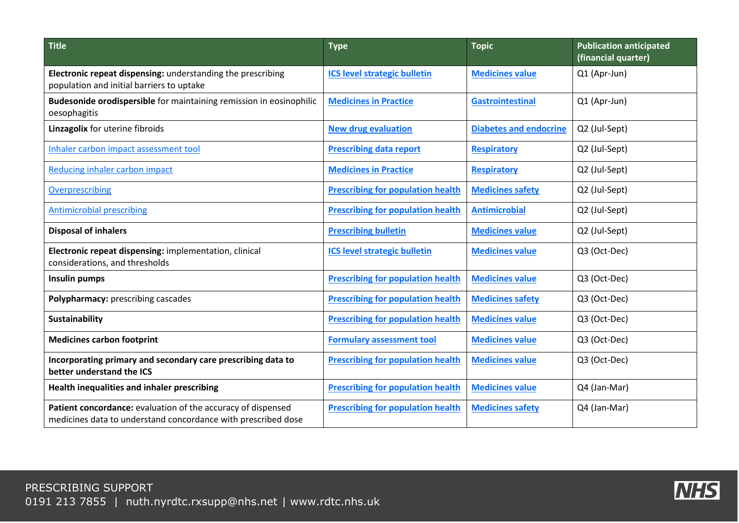| <b>Title</b>                                                                                                                  | <b>Type</b>                              | <b>Topic</b>                  | <b>Publication anticipated</b><br>(financial quarter) |
|-------------------------------------------------------------------------------------------------------------------------------|------------------------------------------|-------------------------------|-------------------------------------------------------|
| Electronic repeat dispensing: understanding the prescribing<br>population and initial barriers to uptake                      | <b>ICS level strategic bulletin</b>      | <b>Medicines value</b>        | Q1 (Apr-Jun)                                          |
| Budesonide orodispersible for maintaining remission in eosinophilic<br>oesophagitis                                           | <b>Medicines in Practice</b>             | <b>Gastrointestinal</b>       | Q1 (Apr-Jun)                                          |
| Linzagolix for uterine fibroids                                                                                               | <b>New drug evaluation</b>               | <b>Diabetes and endocrine</b> | Q2 (Jul-Sept)                                         |
| Inhaler carbon impact assessment tool                                                                                         | <b>Prescribing data report</b>           | <b>Respiratory</b>            | Q2 (Jul-Sept)                                         |
| Reducing inhaler carbon impact                                                                                                | <b>Medicines in Practice</b>             | <b>Respiratory</b>            | Q2 (Jul-Sept)                                         |
| Overprescribing                                                                                                               | <b>Prescribing for population health</b> | <b>Medicines safety</b>       | Q2 (Jul-Sept)                                         |
| <b>Antimicrobial prescribing</b>                                                                                              | <b>Prescribing for population health</b> | <b>Antimicrobial</b>          | Q2 (Jul-Sept)                                         |
| <b>Disposal of inhalers</b>                                                                                                   | <b>Prescribing bulletin</b>              | <b>Medicines value</b>        | Q2 (Jul-Sept)                                         |
| Electronic repeat dispensing: implementation, clinical<br>considerations, and thresholds                                      | <b>ICS level strategic bulletin</b>      | <b>Medicines value</b>        | Q3 (Oct-Dec)                                          |
| Insulin pumps                                                                                                                 | <b>Prescribing for population health</b> | <b>Medicines value</b>        | Q3 (Oct-Dec)                                          |
| Polypharmacy: prescribing cascades                                                                                            | <b>Prescribing for population health</b> | <b>Medicines safety</b>       | Q3 (Oct-Dec)                                          |
| <b>Sustainability</b>                                                                                                         | <b>Prescribing for population health</b> | <b>Medicines value</b>        | Q3 (Oct-Dec)                                          |
| <b>Medicines carbon footprint</b>                                                                                             | <b>Formulary assessment tool</b>         | <b>Medicines value</b>        | Q3 (Oct-Dec)                                          |
| Incorporating primary and secondary care prescribing data to<br>better understand the ICS                                     | <b>Prescribing for population health</b> | <b>Medicines value</b>        | Q3 (Oct-Dec)                                          |
| Health inequalities and inhaler prescribing                                                                                   | <b>Prescribing for population health</b> | <b>Medicines value</b>        | Q4 (Jan-Mar)                                          |
| Patient concordance: evaluation of the accuracy of dispensed<br>medicines data to understand concordance with prescribed dose | <b>Prescribing for population health</b> | <b>Medicines safety</b>       | Q4 (Jan-Mar)                                          |

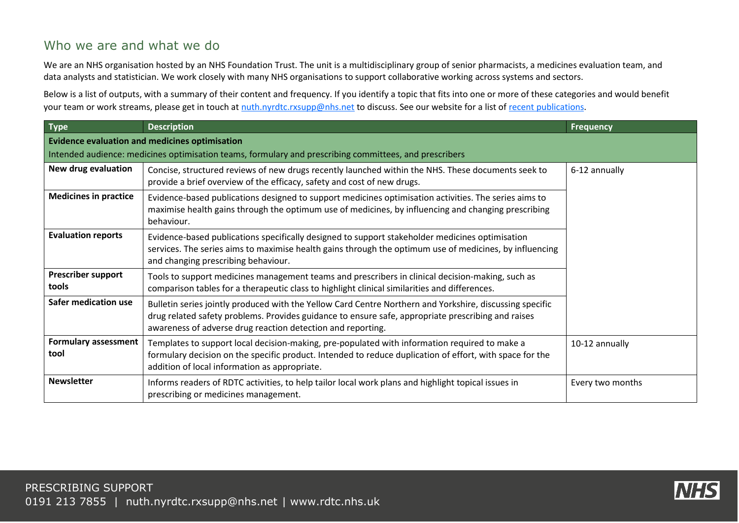## Who we are and what we do

We are an NHS organisation hosted by an NHS Foundation Trust. The unit is a multidisciplinary group of senior pharmacists, a medicines evaluation team, and data analysts and statistician. We work closely with many NHS organisations to support collaborative working across systems and sectors.

Below is a list of outputs, with a summary of their content and frequency. If you identify a topic that fits into one or more of these categories and would benefit your team or work streams, please get in touch at [nuth.nyrdtc.rxsupp@nhs.net](mailto:nuth.nyrdtc.rxsupp@nhs.net) to discuss. See our website for a list o[f recent publications.](https://rdtc.nhs.uk/prescribing-support/new/)

| <b>Type</b>                                           | <b>Description</b>                                                                                                                                                                                                                                                            | <b>Frequency</b> |  |
|-------------------------------------------------------|-------------------------------------------------------------------------------------------------------------------------------------------------------------------------------------------------------------------------------------------------------------------------------|------------------|--|
| <b>Evidence evaluation and medicines optimisation</b> |                                                                                                                                                                                                                                                                               |                  |  |
|                                                       | Intended audience: medicines optimisation teams, formulary and prescribing committees, and prescribers                                                                                                                                                                        |                  |  |
| New drug evaluation                                   | Concise, structured reviews of new drugs recently launched within the NHS. These documents seek to<br>provide a brief overview of the efficacy, safety and cost of new drugs.                                                                                                 | 6-12 annually    |  |
| <b>Medicines in practice</b>                          | Evidence-based publications designed to support medicines optimisation activities. The series aims to<br>maximise health gains through the optimum use of medicines, by influencing and changing prescribing<br>behaviour.                                                    |                  |  |
| <b>Evaluation reports</b>                             | Evidence-based publications specifically designed to support stakeholder medicines optimisation<br>services. The series aims to maximise health gains through the optimum use of medicines, by influencing<br>and changing prescribing behaviour.                             |                  |  |
| <b>Prescriber support</b><br>tools                    | Tools to support medicines management teams and prescribers in clinical decision-making, such as<br>comparison tables for a therapeutic class to highlight clinical similarities and differences.                                                                             |                  |  |
| Safer medication use                                  | Bulletin series jointly produced with the Yellow Card Centre Northern and Yorkshire, discussing specific<br>drug related safety problems. Provides guidance to ensure safe, appropriate prescribing and raises<br>awareness of adverse drug reaction detection and reporting. |                  |  |
| <b>Formulary assessment</b><br>tool                   | Templates to support local decision-making, pre-populated with information required to make a<br>formulary decision on the specific product. Intended to reduce duplication of effort, with space for the<br>addition of local information as appropriate.                    | 10-12 annually   |  |
| <b>Newsletter</b>                                     | Informs readers of RDTC activities, to help tailor local work plans and highlight topical issues in<br>prescribing or medicines management.                                                                                                                                   | Every two months |  |

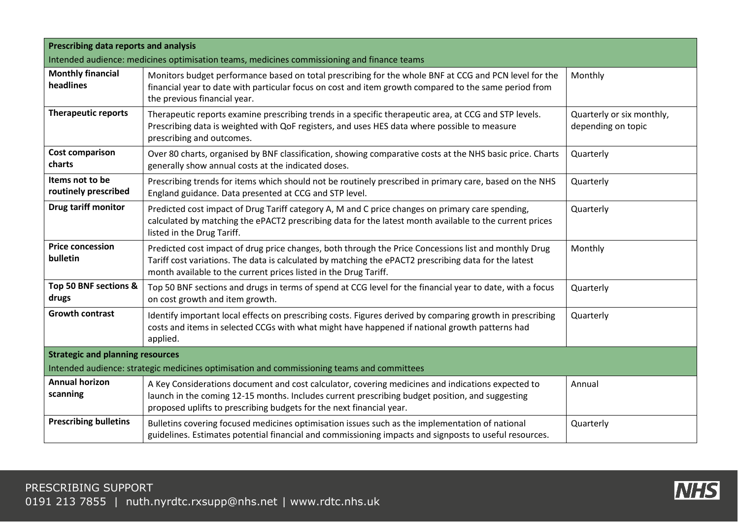| <b>Prescribing data reports and analysis</b>                                               |                                                                                                                                                                                                                                                                                    |                                                 |
|--------------------------------------------------------------------------------------------|------------------------------------------------------------------------------------------------------------------------------------------------------------------------------------------------------------------------------------------------------------------------------------|-------------------------------------------------|
| Intended audience: medicines optimisation teams, medicines commissioning and finance teams |                                                                                                                                                                                                                                                                                    |                                                 |
| <b>Monthly financial</b><br>headlines                                                      | Monitors budget performance based on total prescribing for the whole BNF at CCG and PCN level for the<br>financial year to date with particular focus on cost and item growth compared to the same period from<br>the previous financial year.                                     | Monthly                                         |
| <b>Therapeutic reports</b>                                                                 | Therapeutic reports examine prescribing trends in a specific therapeutic area, at CCG and STP levels.<br>Prescribing data is weighted with QoF registers, and uses HES data where possible to measure<br>prescribing and outcomes.                                                 | Quarterly or six monthly,<br>depending on topic |
| <b>Cost comparison</b><br>charts                                                           | Over 80 charts, organised by BNF classification, showing comparative costs at the NHS basic price. Charts<br>generally show annual costs at the indicated doses.                                                                                                                   | Quarterly                                       |
| Items not to be<br>routinely prescribed                                                    | Prescribing trends for items which should not be routinely prescribed in primary care, based on the NHS<br>England guidance. Data presented at CCG and STP level.                                                                                                                  | Quarterly                                       |
| Drug tariff monitor                                                                        | Predicted cost impact of Drug Tariff category A, M and C price changes on primary care spending,<br>calculated by matching the ePACT2 prescribing data for the latest month available to the current prices<br>listed in the Drug Tariff.                                          | Quarterly                                       |
| <b>Price concession</b><br>bulletin                                                        | Predicted cost impact of drug price changes, both through the Price Concessions list and monthly Drug<br>Tariff cost variations. The data is calculated by matching the ePACT2 prescribing data for the latest<br>month available to the current prices listed in the Drug Tariff. | Monthly                                         |
| Top 50 BNF sections &<br>drugs                                                             | Top 50 BNF sections and drugs in terms of spend at CCG level for the financial year to date, with a focus<br>on cost growth and item growth.                                                                                                                                       | Quarterly                                       |
| <b>Growth contrast</b>                                                                     | Identify important local effects on prescribing costs. Figures derived by comparing growth in prescribing<br>costs and items in selected CCGs with what might have happened if national growth patterns had<br>applied.                                                            | Quarterly                                       |
| <b>Strategic and planning resources</b>                                                    |                                                                                                                                                                                                                                                                                    |                                                 |
| Intended audience: strategic medicines optimisation and commissioning teams and committees |                                                                                                                                                                                                                                                                                    |                                                 |
| <b>Annual horizon</b><br>scanning                                                          | A Key Considerations document and cost calculator, covering medicines and indications expected to<br>launch in the coming 12-15 months. Includes current prescribing budget position, and suggesting<br>proposed uplifts to prescribing budgets for the next financial year.       | Annual                                          |
| <b>Prescribing bulletins</b>                                                               | Bulletins covering focused medicines optimisation issues such as the implementation of national<br>guidelines. Estimates potential financial and commissioning impacts and signposts to useful resources.                                                                          | Quarterly                                       |

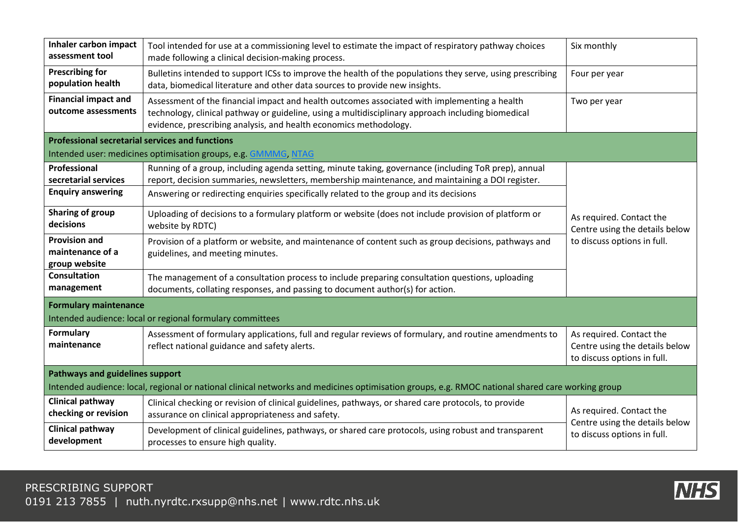| Inhaler carbon impact<br>assessment tool                                                                                                         | Tool intended for use at a commissioning level to estimate the impact of respiratory pathway choices<br>made following a clinical decision-making process.                                                                                                              | Six monthly                                                                               |
|--------------------------------------------------------------------------------------------------------------------------------------------------|-------------------------------------------------------------------------------------------------------------------------------------------------------------------------------------------------------------------------------------------------------------------------|-------------------------------------------------------------------------------------------|
| <b>Prescribing for</b><br>population health                                                                                                      | Bulletins intended to support ICSs to improve the health of the populations they serve, using prescribing<br>data, biomedical literature and other data sources to provide new insights.                                                                                | Four per year                                                                             |
| <b>Financial impact and</b><br>outcome assessments                                                                                               | Assessment of the financial impact and health outcomes associated with implementing a health<br>technology, clinical pathway or guideline, using a multidisciplinary approach including biomedical<br>evidence, prescribing analysis, and health economics methodology. | Two per year                                                                              |
| <b>Professional secretarial services and functions</b>                                                                                           |                                                                                                                                                                                                                                                                         |                                                                                           |
|                                                                                                                                                  | Intended user: medicines optimisation groups, e.g. GMMMG, NTAG                                                                                                                                                                                                          |                                                                                           |
| <b>Professional</b><br>secretarial services                                                                                                      | Running of a group, including agenda setting, minute taking, governance (including ToR prep), annual<br>report, decision summaries, newsletters, membership maintenance, and maintaining a DOI register.                                                                |                                                                                           |
| <b>Enquiry answering</b>                                                                                                                         | Answering or redirecting enquiries specifically related to the group and its decisions                                                                                                                                                                                  |                                                                                           |
| Sharing of group<br>decisions                                                                                                                    | Uploading of decisions to a formulary platform or website (does not include provision of platform or<br>website by RDTC)                                                                                                                                                | As required. Contact the<br>Centre using the details below                                |
| <b>Provision and</b><br>maintenance of a<br>group website                                                                                        | Provision of a platform or website, and maintenance of content such as group decisions, pathways and<br>guidelines, and meeting minutes.                                                                                                                                | to discuss options in full.                                                               |
| <b>Consultation</b><br>management                                                                                                                | The management of a consultation process to include preparing consultation questions, uploading<br>documents, collating responses, and passing to document author(s) for action.                                                                                        |                                                                                           |
| <b>Formulary maintenance</b>                                                                                                                     |                                                                                                                                                                                                                                                                         |                                                                                           |
|                                                                                                                                                  | Intended audience: local or regional formulary committees                                                                                                                                                                                                               |                                                                                           |
| <b>Formulary</b><br>maintenance                                                                                                                  | Assessment of formulary applications, full and regular reviews of formulary, and routine amendments to<br>reflect national guidance and safety alerts.                                                                                                                  | As required. Contact the<br>Centre using the details below<br>to discuss options in full. |
| <b>Pathways and guidelines support</b>                                                                                                           |                                                                                                                                                                                                                                                                         |                                                                                           |
| Intended audience: local, regional or national clinical networks and medicines optimisation groups, e.g. RMOC national shared care working group |                                                                                                                                                                                                                                                                         |                                                                                           |
| Clinical pathway<br>checking or revision                                                                                                         | Clinical checking or revision of clinical guidelines, pathways, or shared care protocols, to provide<br>assurance on clinical appropriateness and safety.                                                                                                               | As required. Contact the                                                                  |
| <b>Clinical pathway</b><br>development                                                                                                           | Development of clinical guidelines, pathways, or shared care protocols, using robust and transparent<br>processes to ensure high quality.                                                                                                                               | Centre using the details below<br>to discuss options in full.                             |